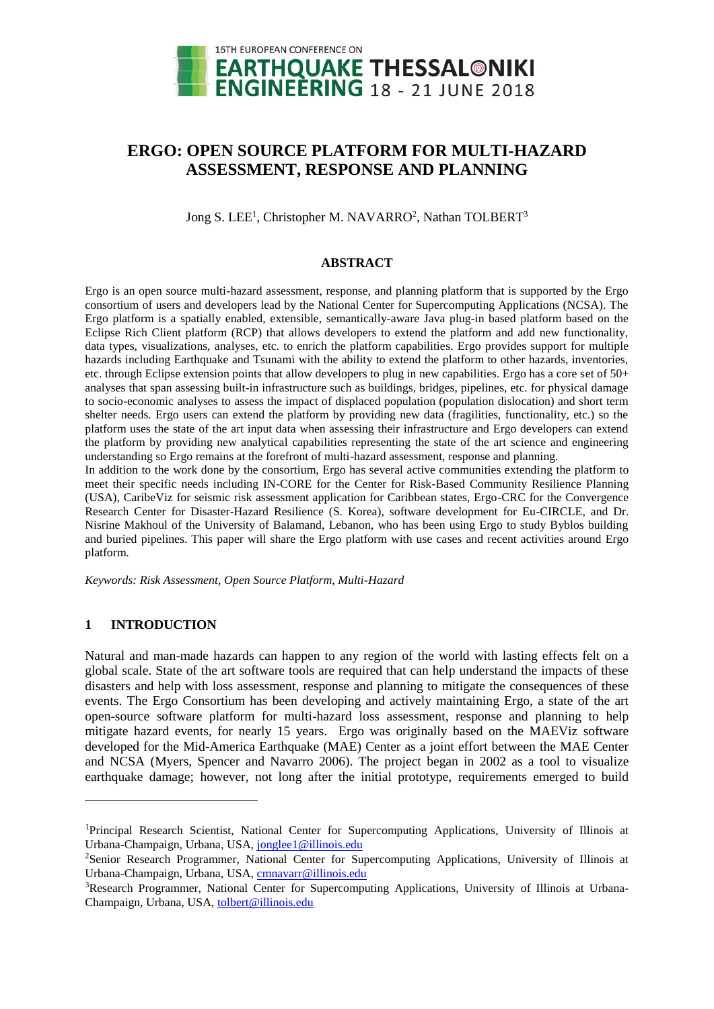

# **ERGO: OPEN SOURCE PLATFORM FOR MULTI-HAZARD ASSESSMENT, RESPONSE AND PLANNING**

Jong S. LEE<sup>1</sup>, Christopher M. NAVARRO<sup>2</sup>, Nathan TOLBERT<sup>3</sup>

#### **ABSTRACT**

Ergo is an open source multi-hazard assessment, response, and planning platform that is supported by the Ergo consortium of users and developers lead by the National Center for Supercomputing Applications (NCSA). The Ergo platform is a spatially enabled, extensible, semantically-aware Java plug-in based platform based on the Eclipse Rich Client platform (RCP) that allows developers to extend the platform and add new functionality, data types, visualizations, analyses, etc. to enrich the platform capabilities. Ergo provides support for multiple hazards including Earthquake and Tsunami with the ability to extend the platform to other hazards, inventories, etc. through Eclipse extension points that allow developers to plug in new capabilities. Ergo has a core set of 50+ analyses that span assessing built-in infrastructure such as buildings, bridges, pipelines, etc. for physical damage to socio-economic analyses to assess the impact of displaced population (population dislocation) and short term shelter needs. Ergo users can extend the platform by providing new data (fragilities, functionality, etc.) so the platform uses the state of the art input data when assessing their infrastructure and Ergo developers can extend the platform by providing new analytical capabilities representing the state of the art science and engineering understanding so Ergo remains at the forefront of multi-hazard assessment, response and planning.

In addition to the work done by the consortium, Ergo has several active communities extending the platform to meet their specific needs including IN-CORE for the Center for Risk-Based Community Resilience Planning (USA), CaribeViz for seismic risk assessment application for Caribbean states, Ergo-CRC for the Convergence Research Center for Disaster-Hazard Resilience (S. Korea), software development for Eu-CIRCLE, and Dr. Nisrine Makhoul of the University of Balamand, Lebanon, who has been using Ergo to study Byblos building and buried pipelines. This paper will share the Ergo platform with use cases and recent activities around Ergo platform.

*Keywords: Risk Assessment, Open Source Platform, Multi-Hazard*

#### **1 INTRODUCTION**

l

Natural and man-made hazards can happen to any region of the world with lasting effects felt on a global scale. State of the art software tools are required that can help understand the impacts of these disasters and help with loss assessment, response and planning to mitigate the consequences of these events. The Ergo Consortium has been developing and actively maintaining Ergo, a state of the art open-source software platform for multi-hazard loss assessment, response and planning to help mitigate hazard events, for nearly 15 years. Ergo was originally based on the MAEViz software developed for the Mid-America Earthquake (MAE) Center as a joint effort between the MAE Center and NCSA (Myers, Spencer and Navarro 2006). The project began in 2002 as a tool to visualize earthquake damage; however, not long after the initial prototype, requirements emerged to build

<sup>1</sup>Principal Research Scientist, National Center for Supercomputing Applications, University of Illinois at Urbana-Champaign, Urbana, USA, [jonglee1@illinois.edu](mailto:jonglee1@illinois.edu)

<sup>2</sup>Senior Research Programmer, National Center for Supercomputing Applications, University of Illinois at Urbana-Champaign, Urbana, USA, [cmnavarr@illinois.edu](mailto:cmnavarr@illinois.edu)

<sup>3</sup>Research Programmer, National Center for Supercomputing Applications, University of Illinois at Urbana-Champaign, Urbana, USA, [tolbert@illinois.edu](mailto:tolbert@illinois.edu)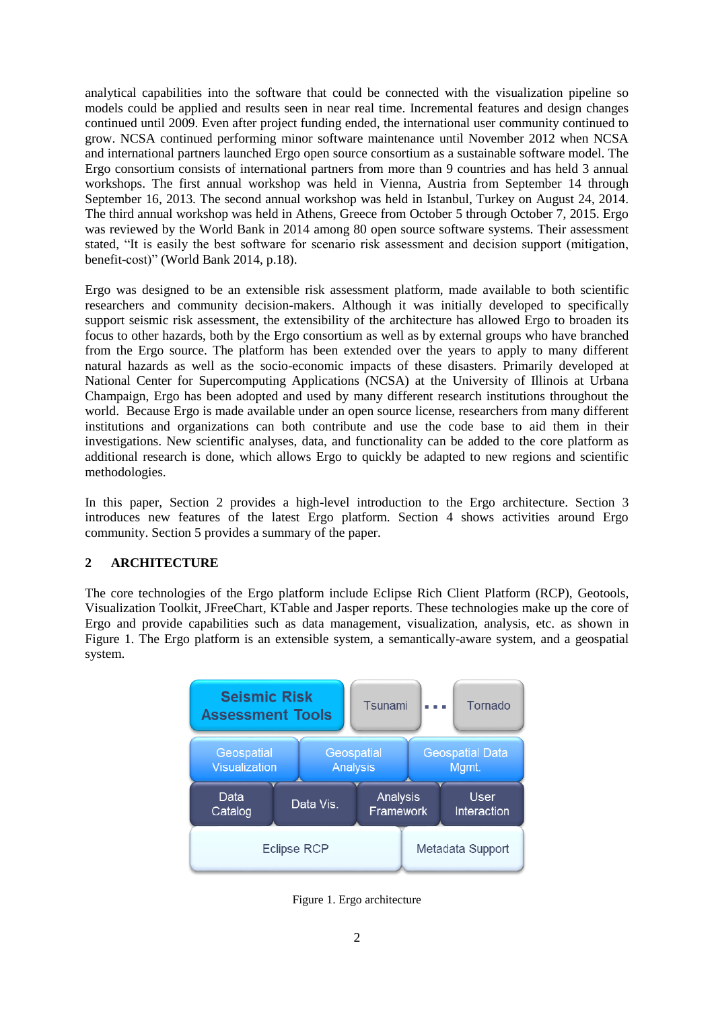analytical capabilities into the software that could be connected with the visualization pipeline so models could be applied and results seen in near real time. Incremental features and design changes continued until 2009. Even after project funding ended, the international user community continued to grow. NCSA continued performing minor software maintenance until November 2012 when NCSA and international partners launched Ergo open source consortium as a sustainable software model. The Ergo consortium consists of international partners from more than 9 countries and has held 3 annual workshops. The first annual workshop was held in Vienna, Austria from September 14 through September 16, 2013. The second annual workshop was held in Istanbul, Turkey on August 24, 2014. The third annual workshop was held in Athens, Greece from October 5 through October 7, 2015. Ergo was reviewed by the World Bank in 2014 among 80 open source software systems. Their assessment stated, "It is easily the best software for scenario risk assessment and decision support (mitigation, benefit-cost)" (World Bank 2014, p.18).

Ergo was designed to be an extensible risk assessment platform, made available to both scientific researchers and community decision-makers. Although it was initially developed to specifically support seismic risk assessment, the extensibility of the architecture has allowed Ergo to broaden its focus to other hazards, both by the Ergo consortium as well as by external groups who have branched from the Ergo source. The platform has been extended over the years to apply to many different natural hazards as well as the socio-economic impacts of these disasters. Primarily developed at National Center for Supercomputing Applications (NCSA) at the University of Illinois at Urbana Champaign, Ergo has been adopted and used by many different research institutions throughout the world. Because Ergo is made available under an open source license, researchers from many different institutions and organizations can both contribute and use the code base to aid them in their investigations. New scientific analyses, data, and functionality can be added to the core platform as additional research is done, which allows Ergo to quickly be adapted to new regions and scientific methodologies.

In this paper, Section 2 provides a high-level introduction to the Ergo architecture. Section 3 introduces new features of the latest Ergo platform. Section 4 shows activities around Ergo community. Section 5 provides a summary of the paper.

#### **2 ARCHITECTURE**

The core technologies of the Ergo platform include Eclipse Rich Client Platform (RCP), Geotools, Visualization Toolkit, JFreeChart, KTable and Jasper reports. These technologies make up the core of Ergo and provide capabilities such as data management, visualization, analysis, etc. as shown in [Figure 1.](#page-1-0) The Ergo platform is an extensible system, a semantically-aware system, and a geospatial system.



<span id="page-1-0"></span>Figure 1. Ergo architecture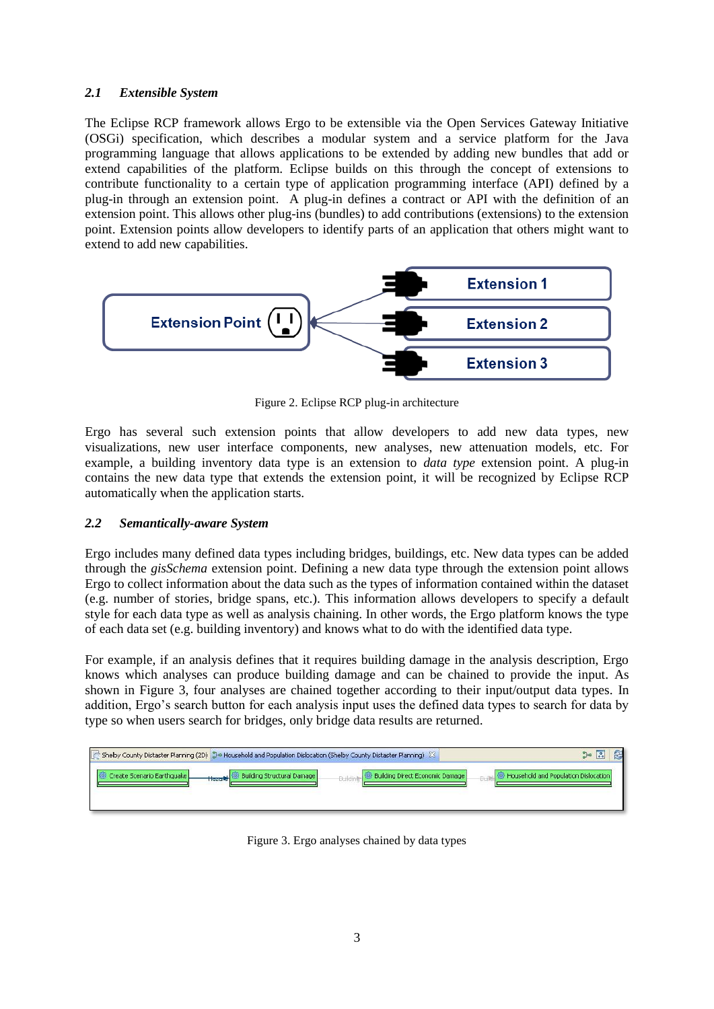## *2.1 Extensible System*

The Eclipse RCP framework allows Ergo to be extensible via the Open Services Gateway Initiative (OSGi) specification, which describes a modular system and a service platform for the Java programming language that allows applications to be extended by adding new bundles that add or extend capabilities of the platform. Eclipse builds on this through the concept of extensions to contribute functionality to a certain type of application programming interface (API) defined by a plug-in through an extension point. A plug-in defines a contract or API with the definition of an extension point. This allows other plug-ins (bundles) to add contributions (extensions) to the extension point. Extension points allow developers to identify parts of an application that others might want to extend to add new capabilities.



Figure 2. Eclipse RCP plug-in architecture

Ergo has several such extension points that allow developers to add new data types, new visualizations, new user interface components, new analyses, new attenuation models, etc. For example, a building inventory data type is an extension to *data type* extension point. A plug-in contains the new data type that extends the extension point, it will be recognized by Eclipse RCP automatically when the application starts.

#### *2.2 Semantically-aware System*

Ergo includes many defined data types including bridges, buildings, etc. New data types can be added through the *gisSchema* extension point. Defining a new data type through the extension point allows Ergo to collect information about the data such as the types of information contained within the dataset (e.g. number of stories, bridge spans, etc.). This information allows developers to specify a default style for each data type as well as analysis chaining. In other words, the Ergo platform knows the type of each data set (e.g. building inventory) and knows what to do with the identified data type.

For example, if an analysis defines that it requires building damage in the analysis description, Ergo knows which analyses can produce building damage and can be chained to provide the input. As shown in [Figure 3,](#page-2-0) four analyses are chained together according to their input/output data types. In addition, Ergo's search button for each analysis input uses the defined data types to search for data by type so when users search for bridges, only bridge data results are returned.

<span id="page-2-0"></span>

| $\pm$ Shelby County Distaster Planning (2D) $\,$ 3+ Household and Population Dislocation (Shelby County Distaster Planning) $\,$ $\,$ $\,$ $\,$ $\,$ | $\approx$<br>$\frac{3}{100}$ of                   |                                      |
|------------------------------------------------------------------------------------------------------------------------------------------------------|---------------------------------------------------|--------------------------------------|
| <b>Building Structural Damage</b><br>Create Scenario Earthquake<br><b>INGPORT</b>                                                                    | Building Direct Economic Damage<br><b>Duildir</b> | Household and Population Dislocation |

Figure 3. Ergo analyses chained by data types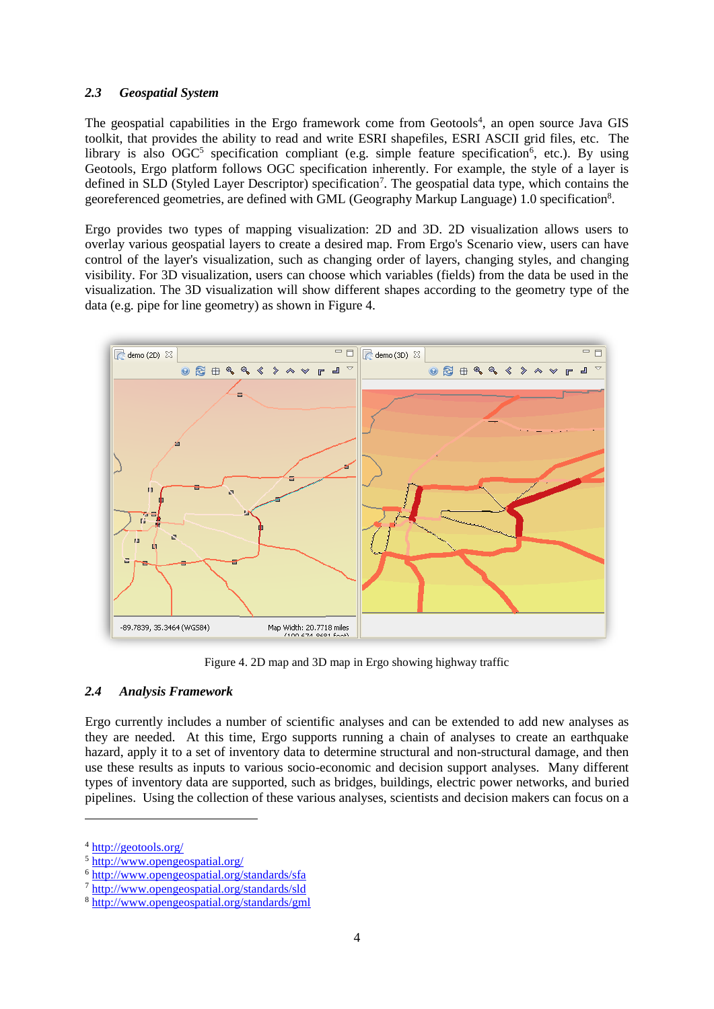#### *2.3 Geospatial System*

The geospatial capabilities in the Ergo framework come from Geotools<sup>4</sup>, an open source Java GIS toolkit, that provides the ability to read and write ESRI shapefiles, ESRI ASCII grid files, etc. The library is also OGC<sup>5</sup> specification compliant (e.g. simple feature specification<sup>6</sup>, etc.). By using Geotools, Ergo platform follows OGC specification inherently. For example, the style of a layer is defined in SLD (Styled Layer Descriptor) specification<sup>7</sup>. The geospatial data type, which contains the georeferenced geometries, are defined with GML (Geography Markup Language) 1.0 specification<sup>8</sup>.

Ergo provides two types of mapping visualization: 2D and 3D. 2D visualization allows users to overlay various geospatial layers to create a desired map. From Ergo's Scenario view, users can have control of the layer's visualization, such as changing order of layers, changing styles, and changing visibility. For 3D visualization, users can choose which variables (fields) from the data be used in the visualization. The 3D visualization will show different shapes according to the geometry type of the data (e.g. pipe for line geometry) as shown in [Figure 4.](#page-3-0)



Figure 4. 2D map and 3D map in Ergo showing highway traffic

## <span id="page-3-0"></span>*2.4 Analysis Framework*

Ergo currently includes a number of scientific analyses and can be extended to add new analyses as they are needed. At this time, Ergo supports running a chain of analyses to create an earthquake hazard, apply it to a set of inventory data to determine structural and non-structural damage, and then use these results as inputs to various socio-economic and decision support analyses. Many different types of inventory data are supported, such as bridges, buildings, electric power networks, and buried pipelines. Using the collection of these various analyses, scientists and decision makers can focus on a

l

<sup>4</sup> <http://geotools.org/>

<sup>5</sup> <http://www.opengeospatial.org/>

<sup>6</sup> <http://www.opengeospatial.org/standards/sfa>

<sup>7</sup> <http://www.opengeospatial.org/standards/sld>

<sup>8</sup> <http://www.opengeospatial.org/standards/gml>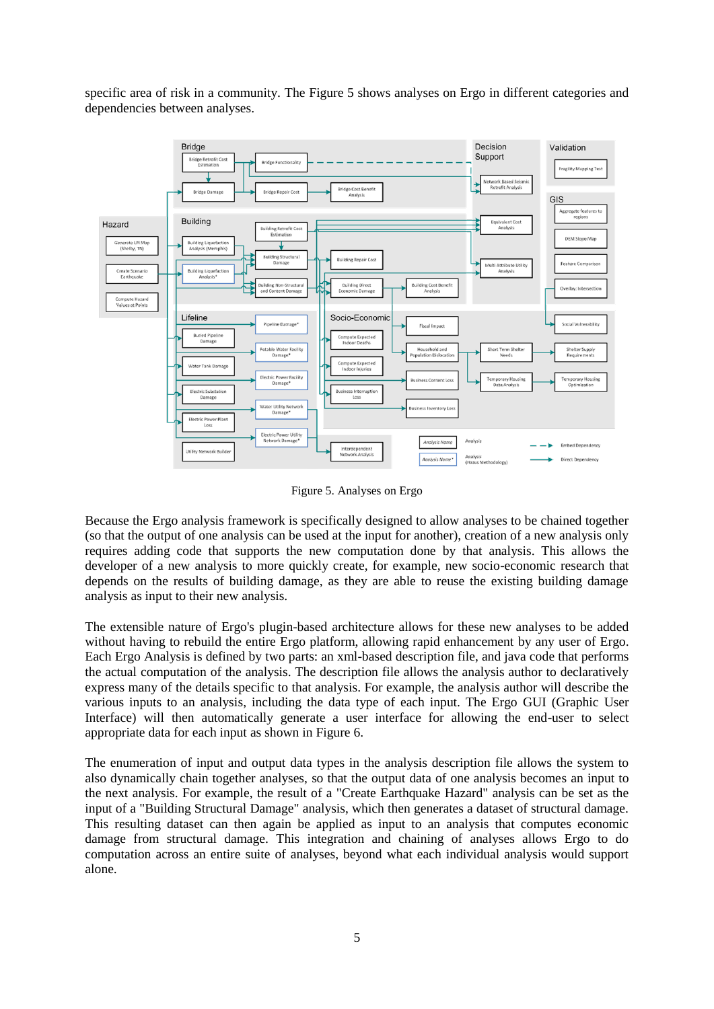specific area of risk in a community. The [Figure 5](#page-4-0) shows analyses on Ergo in different categories and dependencies between analyses.



Figure 5. Analyses on Ergo

<span id="page-4-0"></span>Because the Ergo analysis framework is specifically designed to allow analyses to be chained together (so that the output of one analysis can be used at the input for another), creation of a new analysis only requires adding code that supports the new computation done by that analysis. This allows the developer of a new analysis to more quickly create, for example, new socio-economic research that depends on the results of building damage, as they are able to reuse the existing building damage analysis as input to their new analysis.

The extensible nature of Ergo's plugin-based architecture allows for these new analyses to be added without having to rebuild the entire Ergo platform, allowing rapid enhancement by any user of Ergo. Each Ergo Analysis is defined by two parts: an xml-based description file, and java code that performs the actual computation of the analysis. The description file allows the analysis author to declaratively express many of the details specific to that analysis. For example, the analysis author will describe the various inputs to an analysis, including the data type of each input. The Ergo GUI (Graphic User Interface) will then automatically generate a user interface for allowing the end-user to select appropriate data for each input as shown in [Figure 6.](#page-5-0)

The enumeration of input and output data types in the analysis description file allows the system to also dynamically chain together analyses, so that the output data of one analysis becomes an input to the next analysis. For example, the result of a "Create Earthquake Hazard" analysis can be set as the input of a "Building Structural Damage" analysis, which then generates a dataset of structural damage. This resulting dataset can then again be applied as input to an analysis that computes economic damage from structural damage. This integration and chaining of analyses allows Ergo to do computation across an entire suite of analyses, beyond what each individual analysis would support alone.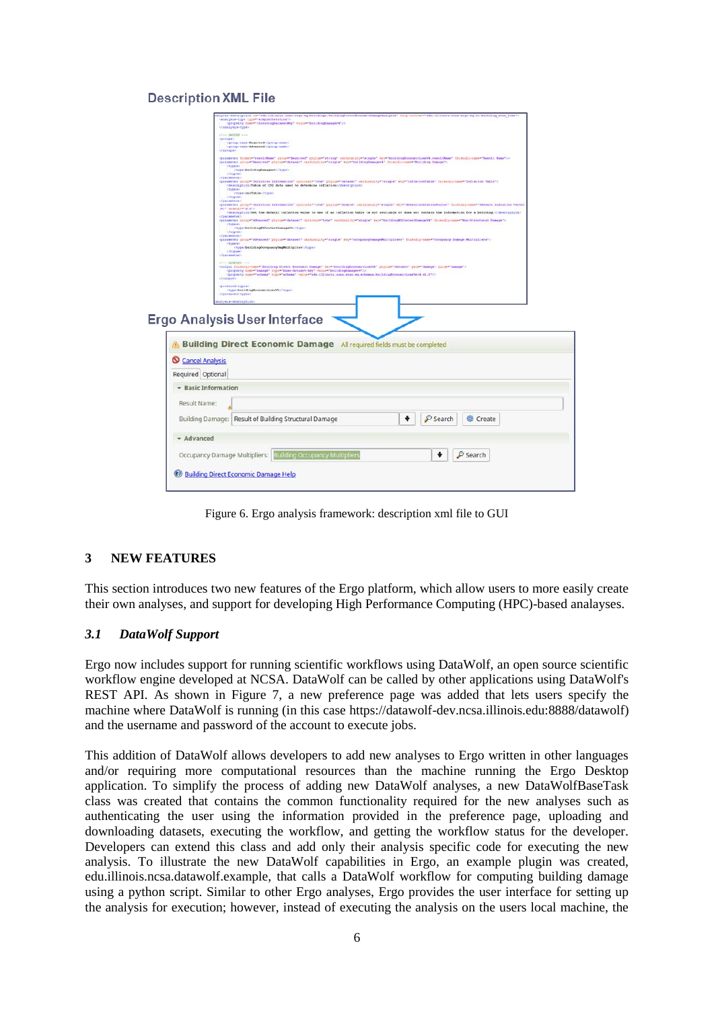#### **Description XML File**

|                     | <analysis-type <="" th="" type="simpleIteration"></analysis-type>                                                                                                                                                                      |
|---------------------|----------------------------------------------------------------------------------------------------------------------------------------------------------------------------------------------------------------------------------------|
|                     | <br>47 - 080092 -- >                                                                                                                                                                                                                   |
|                     | <proup-name>Seguived</proup-name>                                                                                                                                                                                                      |
|                     | <br><parameter cardinality="single" format="resultMame" friendly-name="Result_Mama" group="Required" may="buildingRoonomicLossV4.resultMame" phylum="string"></parameter>                                                              |
|                     | <parameter cardinality="single" friendly-came="Bnilding Damape" group="Required" key="bnildingDamapev4" phylum="dataset"><br/>itypes)</parameter>                                                                                      |
|                     | <br>                                                                                                                                                                                                                                   |
|                     | <persenter continuitty="single" friendly='nam="inflation' group="fatiation information" optional="true" phylun="dataset" rep="inflationTable" table"=""><br/>«Sescription&gt;Table of CPI data used to determine inflation</persenter> |
|                     | <typex><br/><type>cpiTable</type><br/><i><b>AFtypes&gt;</b></i></typex>                                                                                                                                                                |
|                     | <b>COMPANIES</b><br>"persester proup="Inflation Information" optional="trem" phylum="double" cardinality="single" try="defaultInflationFactor" friendly-nem="Default Inflation Factor                                                  |
|                     | $(k)$ " default="0.0";<br>«Searchpille) Set the default inflation value to mae if an inflation table is not available or does not contain the information for a building. (/description)<br>                                           |
|                     | <parameter cardinality="aingle" friendly-came="Mon-Structural Damage" group="Afvanced" optional="true" physum="dataint" wey="buildingMSContentDamageV4"><br/><typea></typea></parameter>                                               |
|                     | ctype>buildingNSContentDumageV4c/type><br><br>                                                                                                                                                                                         |
|                     | <paraseter #sy="occupancyDamageMultipliers" cardinality="single" friendly-nama="Occupancy Damage Multipliers" phylus="dataset" prosp="Advanced"></paraseter>                                                                           |
|                     | -szerek<br>                                                                                                                                                                                                                            |
|                     | class correctes and<br>coutput friendly-name="Building Direct Economic Damage" sey="BuildingEconomicLossV4" phylum="dataset" geom="damage" guide="damage">                                                                             |
|                     | <property malus="buildingDamagev4" name="damage" type="base-dataset-key"></property><br><property name="achema" type="achema" value="edm.illinois.nces.ergo.eq.schemas.huiding#conomiclossWer4.vi.0"></property>                       |
|                     | c/output><br><produced-types)< th=""></produced-types)<>                                                                                                                                                                               |
|                     |                                                                                                                                                                                                                                        |
|                     | <type=bellding@commiclossv4< type=""><br/>c/produced-types)</type=bellding@commiclossv4<>                                                                                                                                              |
|                     | cnospiraceb-ass/sal                                                                                                                                                                                                                    |
|                     |                                                                                                                                                                                                                                        |
|                     | <b>Ergo Analysis User Interface</b>                                                                                                                                                                                                    |
|                     |                                                                                                                                                                                                                                        |
|                     | <b>A. Building Direct Economic Damage</b> All required fields must be completed                                                                                                                                                        |
| Cancel Analysis     |                                                                                                                                                                                                                                        |
| Required Optional   |                                                                                                                                                                                                                                        |
| + Basic Information |                                                                                                                                                                                                                                        |
|                     |                                                                                                                                                                                                                                        |
| Result Name:        |                                                                                                                                                                                                                                        |
|                     | ۰<br>Search<br>Building Damage: Result of Building Structural Damage<br><b>卷 Create</b>                                                                                                                                                |
| - Advanced          |                                                                                                                                                                                                                                        |
|                     |                                                                                                                                                                                                                                        |
|                     | Occupancy Damage Multipliers:   Building Occupancy Multipliers<br>$P$ Search                                                                                                                                                           |
|                     | <b>Building Direct Economic Damage Help</b>                                                                                                                                                                                            |

Figure 6. Ergo analysis framework: description xml file to GUI

## <span id="page-5-0"></span>**3 NEW FEATURES**

This section introduces two new features of the Ergo platform, which allow users to more easily create their own analyses, and support for developing High Performance Computing (HPC)-based analayses.

#### *3.1 DataWolf Support*

Ergo now includes support for running scientific workflows using DataWolf, an open source scientific workflow engine developed at NCSA. DataWolf can be called by other applications using DataWolf's REST API. As shown in [Figure 7,](#page-6-0) a new preference page was added that lets users specify the machine where DataWolf is running (in this case https://datawolf-dev.ncsa.illinois.edu:8888/datawolf) and the username and password of the account to execute jobs.

This addition of DataWolf allows developers to add new analyses to Ergo written in other languages and/or requiring more computational resources than the machine running the Ergo Desktop application. To simplify the process of adding new DataWolf analyses, a new DataWolfBaseTask class was created that contains the common functionality required for the new analyses such as authenticating the user using the information provided in the preference page, uploading and downloading datasets, executing the workflow, and getting the workflow status for the developer. Developers can extend this class and add only their analysis specific code for executing the new analysis. To illustrate the new DataWolf capabilities in Ergo, an example plugin was created, edu.illinois.ncsa.datawolf.example, that calls a DataWolf workflow for computing building damage using a python script. Similar to other Ergo analyses, Ergo provides the user interface for setting up the analysis for execution; however, instead of executing the analysis on the users local machine, the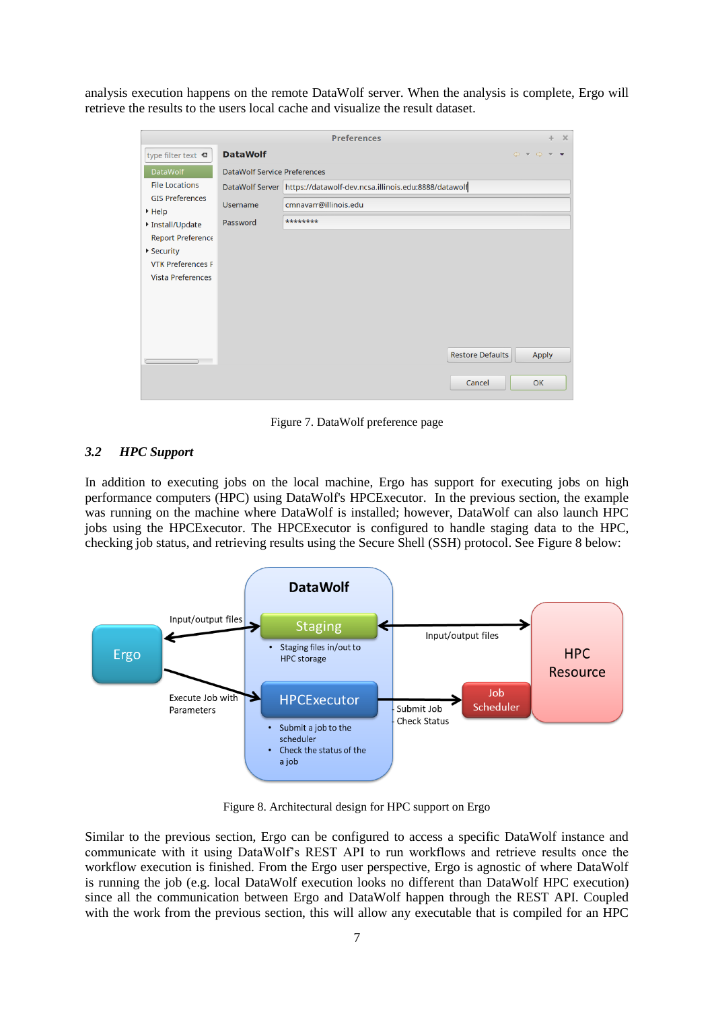analysis execution happens on the remote DataWolf server. When the analysis is complete, Ergo will retrieve the results to the users local cache and visualize the result dataset.

| <b>Preferences</b><br>$\times$<br>÷                                                                     |                                     |                                                                                       |  |  |  |
|---------------------------------------------------------------------------------------------------------|-------------------------------------|---------------------------------------------------------------------------------------|--|--|--|
| type filter text <b>«</b>                                                                               | <b>DataWolf</b>                     | $\Leftrightarrow \quad \Leftrightarrow \quad \Leftrightarrow \quad \star \quad \star$ |  |  |  |
| <b>DataWolf</b>                                                                                         | <b>DataWolf Service Preferences</b> |                                                                                       |  |  |  |
| <b>File Locations</b>                                                                                   |                                     | DataWolf Server https://datawolf-dev.ncsa.illinois.edu:8888/datawolf                  |  |  |  |
| <b>GIS Preferences</b><br><b>Username</b><br>$\blacktriangleright$ Help<br>Password<br>▶ Install/Update |                                     | cmnavarr@illinois.edu                                                                 |  |  |  |
|                                                                                                         |                                     | ********                                                                              |  |  |  |
| Report Preference                                                                                       |                                     |                                                                                       |  |  |  |
| ▶ Security                                                                                              |                                     |                                                                                       |  |  |  |
| <b>VTK Preferences F</b>                                                                                |                                     |                                                                                       |  |  |  |
| <b>Vista Preferences</b>                                                                                |                                     |                                                                                       |  |  |  |
|                                                                                                         |                                     |                                                                                       |  |  |  |
|                                                                                                         |                                     |                                                                                       |  |  |  |
|                                                                                                         |                                     |                                                                                       |  |  |  |
|                                                                                                         |                                     |                                                                                       |  |  |  |
|                                                                                                         |                                     | <b>Restore Defaults</b><br>Apply                                                      |  |  |  |
|                                                                                                         |                                     | Cancel<br>OK                                                                          |  |  |  |

Figure 7. DataWolf preference page

## <span id="page-6-0"></span>*3.2 HPC Support*

In addition to executing jobs on the local machine, Ergo has support for executing jobs on high performance computers (HPC) using DataWolf's HPCExecutor. In the previous section, the example was running on the machine where DataWolf is installed; however, DataWolf can also launch HPC jobs using the HPCExecutor. The HPCExecutor is configured to handle staging data to the HPC, checking job status, and retrieving results using the Secure Shell (SSH) protocol. See [Figure 8](#page-6-1) below:



Figure 8. Architectural design for HPC support on Ergo

<span id="page-6-1"></span>Similar to the previous section, Ergo can be configured to access a specific DataWolf instance and communicate with it using DataWolf's REST API to run workflows and retrieve results once the workflow execution is finished. From the Ergo user perspective, Ergo is agnostic of where DataWolf is running the job (e.g. local DataWolf execution looks no different than DataWolf HPC execution) since all the communication between Ergo and DataWolf happen through the REST API. Coupled with the work from the previous section, this will allow any executable that is compiled for an HPC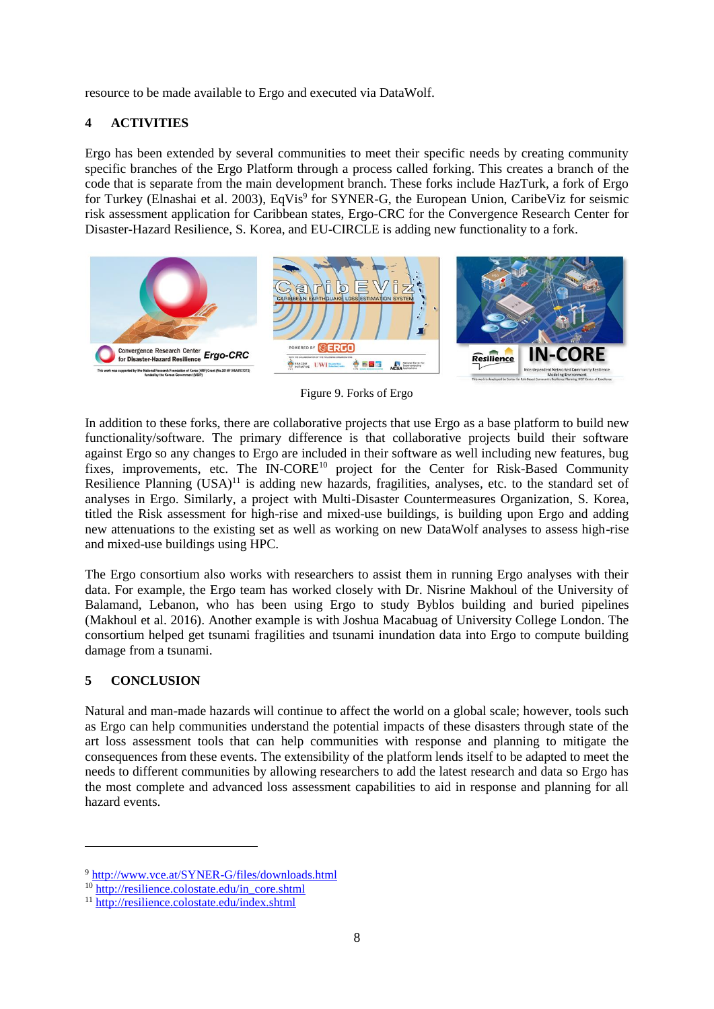resource to be made available to Ergo and executed via DataWolf.

## **4 ACTIVITIES**

Ergo has been extended by several communities to meet their specific needs by creating community specific branches of the Ergo Platform through a process called forking. This creates a branch of the code that is separate from the main development branch. These forks include HazTurk, a fork of Ergo for Turkey (Elnashai et al. 2003), EqVis<sup>9</sup> for SYNER-G, the European Union, CaribeViz for seismic risk assessment application for Caribbean states, Ergo-CRC for the Convergence Research Center for Disaster-Hazard Resilience, S. Korea, and EU-CIRCLE is adding new functionality to a fork.



Figure 9. Forks of Ergo

In addition to these forks, there are collaborative projects that use Ergo as a base platform to build new functionality/software. The primary difference is that collaborative projects build their software against Ergo so any changes to Ergo are included in their software as well including new features, bug fixes, improvements, etc. The IN-CORE<sup>10</sup> project for the Center for Risk-Based Community Resilience Planning (USA)<sup>11</sup> is adding new hazards, fragilities, analyses, etc. to the standard set of analyses in Ergo. Similarly, a project with Multi-Disaster Countermeasures Organization, S. Korea, titled the Risk assessment for high-rise and mixed-use buildings, is building upon Ergo and adding new attenuations to the existing set as well as working on new DataWolf analyses to assess high-rise and mixed-use buildings using HPC.

The Ergo consortium also works with researchers to assist them in running Ergo analyses with their data. For example, the Ergo team has worked closely with Dr. Nisrine Makhoul of the University of Balamand, Lebanon, who has been using Ergo to study Byblos building and buried pipelines (Makhoul et al. 2016). Another example is with Joshua Macabuag of University College London. The consortium helped get tsunami fragilities and tsunami inundation data into Ergo to compute building damage from a tsunami.

#### **5 CONCLUSION**

 $\overline{a}$ 

Natural and man-made hazards will continue to affect the world on a global scale; however, tools such as Ergo can help communities understand the potential impacts of these disasters through state of the art loss assessment tools that can help communities with response and planning to mitigate the consequences from these events. The extensibility of the platform lends itself to be adapted to meet the needs to different communities by allowing researchers to add the latest research and data so Ergo has the most complete and advanced loss assessment capabilities to aid in response and planning for all hazard events.

<sup>9</sup> <http://www.vce.at/SYNER-G/files/downloads.html>

<sup>10</sup> [http://resilience.colostate.edu/in\\_core.shtml](http://resilience.colostate.edu/in_core.shtml)

<sup>11</sup> <http://resilience.colostate.edu/index.shtml>